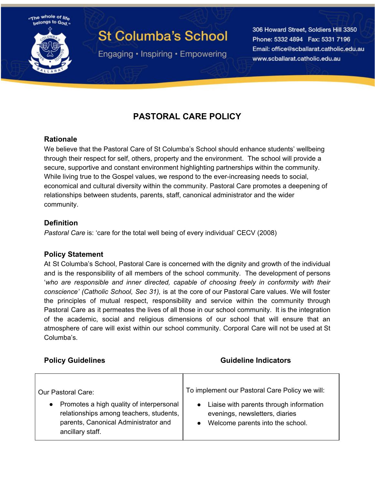

# **St Columba's School**

Engaging • Inspiring • Empowering

306 Howard Street, Soldiers Hill 3350 Phone: 5332 4894 Fax: 5331 7196 Email: office@scballarat.catholic.edu.au www.scballarat.catholic.edu.au

## **PASTORAL CARE POLICY**

#### **Rationale**

We believe that the Pastoral Care of St Columba's School should enhance students' wellbeing through their respect for self, others, property and the environment. The school will provide a secure, supportive and constant environment highlighting partnerships within the community. While living true to the Gospel values, we respond to the ever-increasing needs to social, economical and cultural diversity within the community. Pastoral Care promotes a deepening of relationships between students, parents, staff, canonical administrator and the wider community.

#### **Definition**

*Pastoral Care* is: 'care for the total well being of every individual' CECV (2008)

#### **Policy Statement**

At St Columba's School, Pastoral Care is concerned with the dignity and growth of the individual and is the responsibility of all members of the school community. The development of persons '*who are responsible and inner directed, capable of choosing freely in conformity with their conscience' (Catholic School, Sec 31),* is at the core of our Pastoral Care values. We will foster the principles of mutual respect, responsibility and service within the community through Pastoral Care as it permeates the lives of all those in our school community. It is the integration of the academic, social and religious dimensions of our school that will ensure that an atmosphere of care will exist within our school community. Corporal Care will not be used at St Columba's.

#### **Policy Guidelines CONSIDER ACCESS CONSIDERED ATTICLES Guideline Indicators**

| Our Pastoral Care:                                                                                                                                           | To implement our Pastoral Care Policy we will:                                                                |
|--------------------------------------------------------------------------------------------------------------------------------------------------------------|---------------------------------------------------------------------------------------------------------------|
| Promotes a high quality of interpersonal<br>$\bullet$<br>relationships among teachers, students,<br>parents, Canonical Administrator and<br>ancillary staff. | Liaise with parents through information<br>evenings, newsletters, diaries<br>Welcome parents into the school. |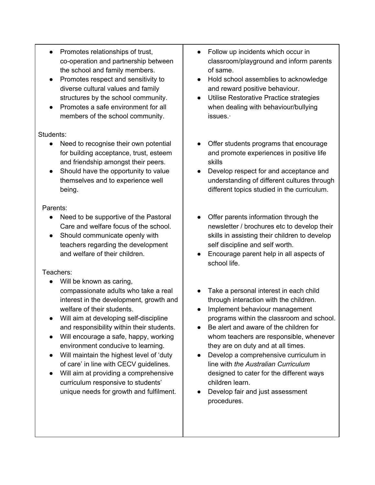- Promotes relationships of trust, co-operation and partnership between the school and family members.
- Promotes respect and sensitivity to diverse cultural values and family structures by the school community.
- Promotes a safe environment for all members of the school community.

#### Students:

- Need to recognise their own potential for building acceptance, trust, esteem and friendship amongst their peers.
- Should have the opportunity to value themselves and to experience well being.

#### Parents:

- Need to be supportive of the Pastoral Care and welfare focus of the school.
- Should communicate openly with teachers regarding the development and welfare of their children.

#### Teachers:

- Will be known as caring, compassionate adults who take a real interest in the development, growth and welfare of their students.
- Will aim at developing self-discipline and responsibility within their students.
- Will encourage a safe, happy, working environment conducive to learning.
- Will maintain the highest level of 'duty of care' in line with CECV guidelines.
- Will aim at providing a comprehensive curriculum responsive to students' unique needs for growth and fulfilment.
- Follow up incidents which occur in classroom/playground and inform parents of same.
- Hold school assemblies to acknowledge and reward positive behaviour.
- Utilise Restorative Practice strategies when dealing with behaviour/bullying issues.·
- Offer students programs that encourage and promote experiences in positive life skills
- Develop respect for and acceptance and understanding of different cultures through different topics studied in the curriculum.
- Offer parents information through the newsletter / brochures etc to develop their skills in assisting their children to develop self discipline and self worth.
- Encourage parent help in all aspects of school life.
- Take a personal interest in each child through interaction with the children.
- Implement behaviour management programs within the classroom and school.
- Be alert and aware of the children for whom teachers are responsible, whenever they are on duty and at all times.
- Develop a comprehensive curriculum in line with *the Australian Curriculum* designed to cater for the different ways children learn.
- Develop fair and just assessment procedures.